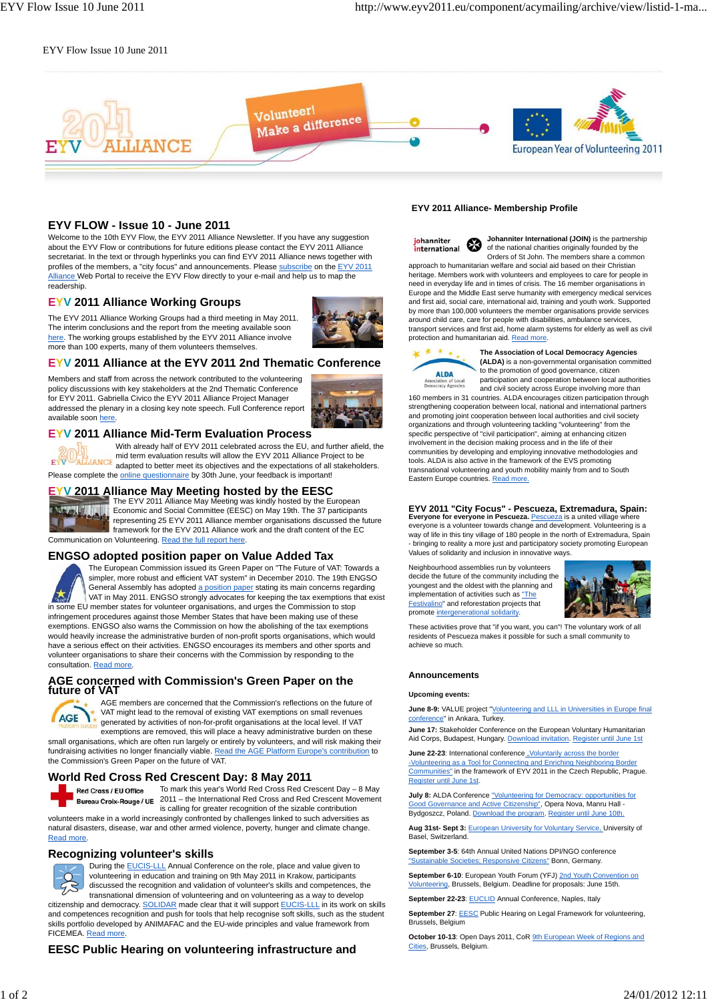#### EYV Flow Issue 10 June 2011



## **EYV FLOW - Issue 10 - June 2011**

Welcome to the 10th EYV Flow, the EYV 2011 Alliance Newsletter. If you have any suggestion about the EYV Flow or contributions for future editions please contact the EYV 2011 Alliance secretariat. In the text or through hyperlinks you can find EYV 2011 Alliance news together with profiles of the members, a "city focus" and announcements. Please subscribe on the EYV 2011 Alliance Web Portal to receive the EYV Flow directly to your e-mail and help us to map the readership.

## **EYV 2011 Alliance Working Groups**

The EYV 2011 Alliance Working Groups had a third meeting in May 2011. The interim conclusions and the report from the meeting available soon here. The working groups established by the EYV 2011 Alliance involve more than 100 experts, many of them volunteers themselves.



# **EYV 2011 Alliance at the EYV 2011 2nd Thematic Conference**

Members and staff from across the network contributed to the volunteering policy discussions with key stakeholders at the 2nd Thematic Conference for EYV 2011. Gabriella Civico the EYV 2011 Alliance Project Manager addressed the plenary in a closing key note speech. Full Conference report available soon here.

## **EYV 2011 Alliance Mid-Term Evaluation Process**

With already half of EYV 2011 celebrated across the EU, and further afield, the mid term evaluation results will allow the EYV 2011 Alliance Project to be EYV **ADMANCE INCORRECT FOR A CONSIDER THE EXPECTATION CONSIDERS AND RELATIONS** adapted to better meet its objectives and the expectations of all stakeholders. Please complete the **online questionnaire** by 30th June, your feedback is important!

# **EYV 2011 Alliance May Meeting hosted by the EESC**<br>The EYV 2011 Alliance May Meeting was kindly hosted by the European

Economic and Social Committee (EESC) on May 19th. The 37 participants representing 25 EYV 2011 Alliance member organisations discussed the future framework for the EYV 2011 Alliance work and the draft content of the EC Communication on Volunteering. Read the full report here

#### **ENGSO adopted position paper on Value Added Tax**



The European Commission issued its Green Paper on "The Future of VAT: Towards a simpler, more robust and efficient VAT system" in December 2010. The 19th ENGSO General Assembly has adopted a position paper stating its main concerns regarding VAT in May 2011. ENGSO strongly advocates for keeping the tax exemptions that exist in some EU member states for volunteer organisations, and urges the Commission to stop infringement procedures against those Member States that have been making use of these exemptions. ENGSO also warns the Commission on how the abolishing of the tax exemptions

would heavily increase the administrative burden of non-profit sports organisations, which would have a serious effect on their activities. ENGSO encourages its members and other sports and volunteer organisations to share their concerns with the Commission by responding to the consultation. Read more.

#### **AGE concerned with Commission's Green Paper on the future of VAT**



AGE members are concerned that the Commission's reflections on the future of VAT might lead to the removal of existing VAT exemptions on small revenues generated by activities of non-for-profit organisations at the local level. If VAT exemptions are removed, this will place a heavy administrative burden on these

small organisations, which are often run largely or entirely by volunteers, and will risk making their fundraising activities no longer financially viable. Read the AGE Platform Europe's contribution to the Commission's Green Paper on the future of VAT.

#### **World Red Cross Red Crescent Day: 8 May 2011**



To mark this year's World Red Cross Red Crescent Day – 8 May Red Cross / EU Office Bureau Croix-Rouge / UE 2011 – the International Red Cross and Red Crescent Movement is calling for greater recognition of the sizable contribution

volunteers make in a world increasingly confronted by challenges linked to such adversities as natural disasters, disease, war and other armed violence, poverty, hunger and climate change. Read more.

#### **Recognizing volunteer's skills**

During the EUCIS-LLL Annual Conference on the role, place and value given to volunteering in education and training on 9th May 2011 in Krakow, participants discussed the recognition and validation of volunteer's skills and competences, the transnational dimension of volunteering and on volunteering as a way to develop citizenship and democracy. SOLIDAR made clear that it will support **EUCIS-LLL** in its work on skills and competences recognition and push for tools that help recognise soft skills, such as the student skills portfolio developed by ANIMAFAC and the EU-wide principles and value framework from FICEMEA. Read more

#### **EESC Public Hearing on volunteering infrastructure and**

#### **EYV 2011 Alliance- Membership Profile**



**Johanniter International (JOIN)** is the partnership of the national charities originally founded by the Orders of St John. The members share a common

approach to humanitarian welfare and social aid based on their Christian heritage. Members work with volunteers and employees to care for people in need in everyday life and in times of crisis. The 16 member organisations in Europe and the Middle East serve humanity with emergency medical services and first aid, social care, international aid, training and youth work. Supported by more than 100,000 volunteers the member organisations provide services around child care, care for people with disabilities, ambulance services, transport services and first aid, home alarm systems for elderly as well as civil protection and humanitarian aid. Read more.



**The Association of Local Democracy Agencies (ALDA)** is a non-governmental organisation committed to the promotion of good governance, citizen participation and cooperation between local authorities

and civil society across Europe involving more than 160 members in 31 countries. ALDA encourages citizen participation through strengthening cooperation between local, national and international partners and promoting joint cooperation between local authorities and civil society organizations and through volunteering tackling "volunteering" from the specific perspective of "civil participation", aiming at enhancing citizen involvement in the decision making process and in the life of their communities by developing and employing innovative methodologies and tools. ALDA is also active in the framework of the EVS promoting transnational volunteering and youth mobility mainly from and to South Eastern Europe countries. Read more.

**EYV 2011 "City Focus" - Pescueza, Extremadura, Spain: Everyone for everyone in Pescueza.** Pescueza is a united village where everyone is a volunteer towards change and development. Volunteering is a way of life in this tiny village of 180 people in the north of Extremadura, Spain - bringing to reality a more just and participatory society promoting European

Neighbourhood assemblies run by volunteers decide the future of the community including the youngest and the oldest with the planning and implementation of activities such as "The **Festivalino**" and reforestation projects that promote intergenerational solidarity.

Values of solidarity and inclusion in innovative ways.



These activities prove that "if you want, you can"! The voluntary work of all residents of Pescueza makes it possible for such a small community to achieve so much.

#### **Announcements**

#### **Upcoming events:**

**June 8-9:** VALUE project "Volunteering and LLL in Universities in Europe final conference" in Ankara, Turkey.

**June 17:** Stakeholder Conference on the European Voluntary Humanitarian Aid Corps, Budapest, Hungary. Download invitation. Register until June 1st

June 22-23: International conference **"Voluntarily across the border** -Volunteering as a Tool for Connecting and Enriching Neighboring Border Communities" in the framework of EYV 2011 in the Czech Republic, Prague. Register until June 1st.

**July 8:** ALDA Conference "Volunteering for Democracy: opportunities for Good Governance and Active Citizenship", Opera Nova, Manru Hall - Bydgoszcz, Poland. Download the program. Register until June 10th.

**Aug 31st- Sept 3:** European University for Voluntary Service, University of Basel, Switzerland.

**September 3-5**: 64th Annual United Nations DPI/NGO conference "Sustainable Societies; Responsive Citizens" Bonn, Germany.

**September 6-10:** European Youth Forum (YFJ) 2nd Youth Convention on Volunteering, Brussels, Belgium. Deadline for proposals: June 15th.

**September 22-23**: EUCLID Annual Conference, Naples, Italy

**September 27: EESC Public Hearing on Legal Framework for volunteering** Brussels, Belgium

October 10-13: Open Days 2011, CoR **9th European Week of Regions and** Cities, Brussels, Belgium.